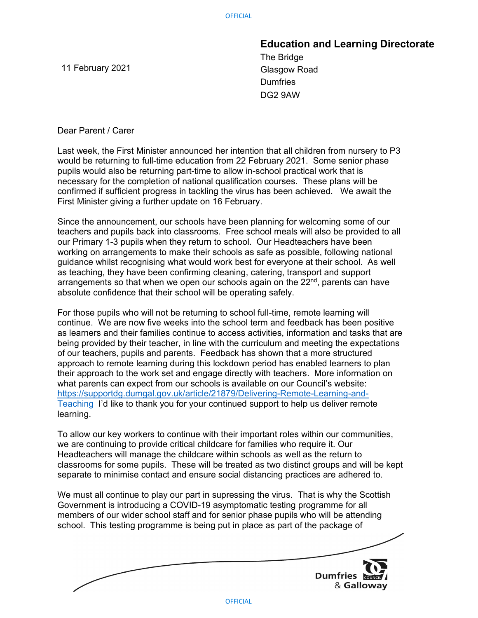11 February 2021

Education and Learning Directorate

The Bridge Glasgow Road **Dumfries** DG2 9AW

Dear Parent / Carer

Last week, the First Minister announced her intention that all children from nursery to P3 would be returning to full-time education from 22 February 2021. Some senior phase pupils would also be returning part-time to allow in-school practical work that is necessary for the completion of national qualification courses. These plans will be confirmed if sufficient progress in tackling the virus has been achieved. We await the First Minister giving a further update on 16 February.

Since the announcement, our schools have been planning for welcoming some of our teachers and pupils back into classrooms. Free school meals will also be provided to all our Primary 1-3 pupils when they return to school. Our Headteachers have been working on arrangements to make their schools as safe as possible, following national guidance whilst recognising what would work best for everyone at their school. As well as teaching, they have been confirming cleaning, catering, transport and support arrangements so that when we open our schools again on the 22<sup>nd</sup>, parents can have absolute confidence that their school will be operating safely.

For those pupils who will not be returning to school full-time, remote learning will continue. We are now five weeks into the school term and feedback has been positive as learners and their families continue to access activities, information and tasks that are being provided by their teacher, in line with the curriculum and meeting the expectations of our teachers, pupils and parents. Feedback has shown that a more structured approach to remote learning during this lockdown period has enabled learners to plan their approach to the work set and engage directly with teachers. More information on what parents can expect from our schools is available on our Council's website: https://supportdg.dumgal.gov.uk/article/21879/Delivering-Remote-Learning-and-Teaching I'd like to thank you for your continued support to help us deliver remote learning.

To allow our key workers to continue with their important roles within our communities, we are continuing to provide critical childcare for families who require it. Our Headteachers will manage the childcare within schools as well as the return to classrooms for some pupils. These will be treated as two distinct groups and will be kept separate to minimise contact and ensure social distancing practices are adhered to.

We must all continue to play our part in supressing the virus. That is why the Scottish Government is introducing a COVID-19 asymptomatic testing programme for all members of our wider school staff and for senior phase pupils who will be attending school. This testing programme is being put in place as part of the package of